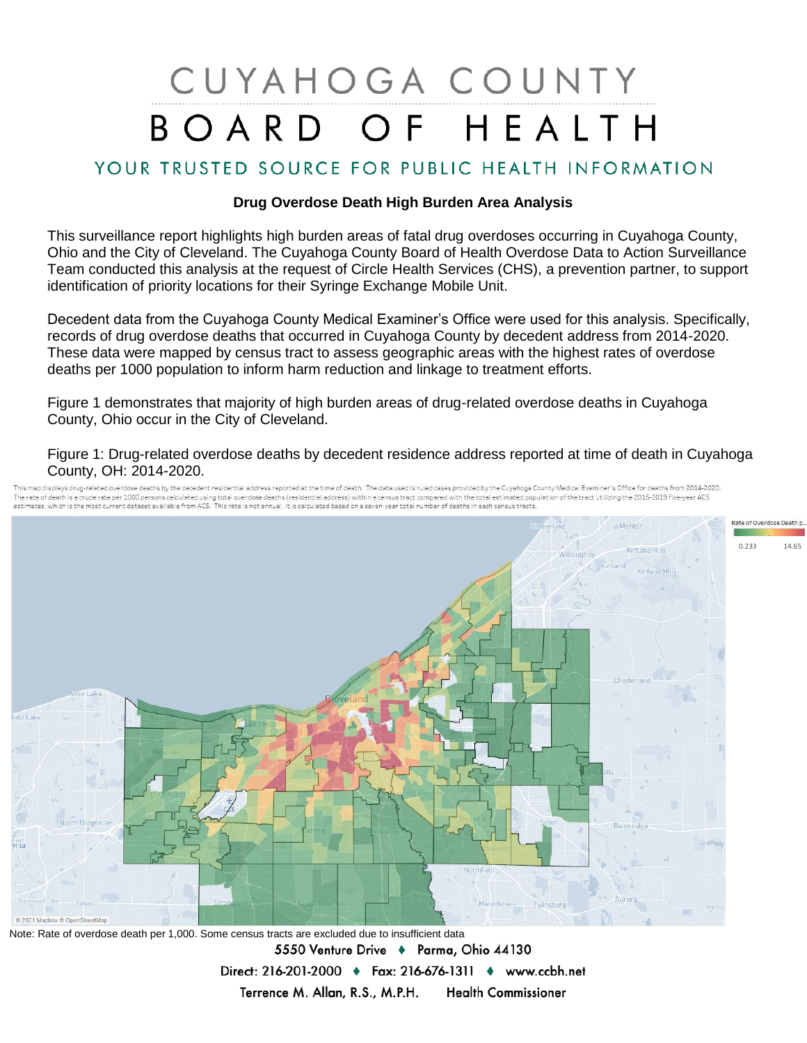## CUYAHOGA COUNTY BOARD OF HEALTH

## YOUR TRUSTED SOURCE FOR PUBLIC HEALTH INFORMATION

## **Drug Overdose Death High Burden Area Analysis**

This surveillance report highlights high burden areas of fatal drug overdoses occurring in Cuyahoga County, Ohio and the City of Cleveland. The Cuyahoga County Board of Health Overdose Data to Action Surveillance Team conducted this analysis at the request of Circle Health Services (CHS), a prevention partner, to support identification of priority locations for their Syringe Exchange Mobile Unit.

Decedent data from the Cuyahoga County Medical Examiner's Office were used for this analysis. Specifically, records of drug overdose deaths that occurred in Cuyahoga County by decedent address from 2014-2020. These data were mapped by census tract to assess geographic areas with the highest rates of overdose deaths per 1000 population to inform harm reduction and linkage to treatment efforts.

Figure 1 demonstrates that majority of high burden areas of drug-related overdose deaths in Cuyahoga County, Ohio occur in the City of Cleveland.

Figure 1: Drug-related overdose deaths by decedent residence address reported at time of death in Cuyahoga County, OH: 2014-2020.

.<br>This map displays drug-related overdose deaths by the decedent residential address reported at the time of death. The data used is ruled cases provided by the Cuyahoga County Medical Examiner's Office for deaths from 201 The rate of death is a crude rate per 1000 persons calculated using total overdose deaths (residential address) within a census tract compared with the total estimated population of the tract utilizing the 2015-2019 five-y estimates which is the most current dataset available from ACS. This rate is not annual, it is calculated based on a seven-year total number of deaths in each census tracts



Note: Rate of overdose death per 1,000. Some census tracts are excluded due to insufficient data 5550 Venture Drive + Parma, Ohio 44130 Direct: 216-201-2000 • Fax: 216-676-1311 • www.ccbh.net Terrence M. Allan, R.S., M.P.H. **Health Commissioner**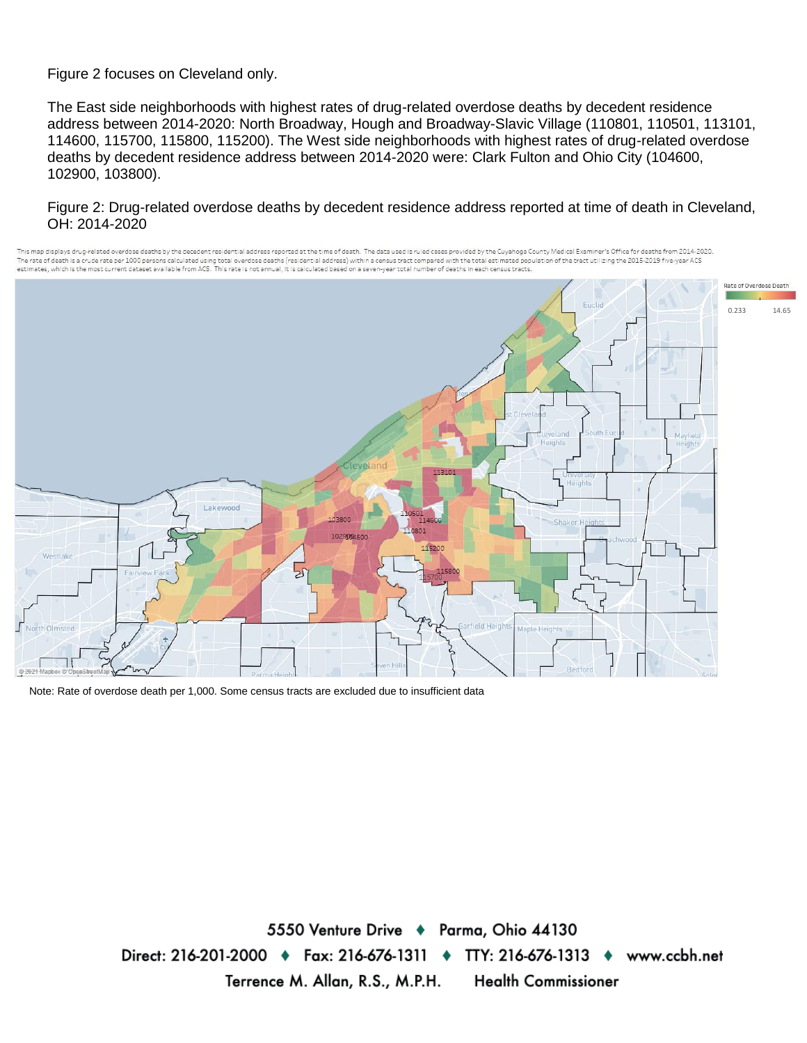Figure 2 focuses on Cleveland only.

The East side neighborhoods with highest rates of drug-related overdose deaths by decedent residence address between 2014-2020: North Broadway, Hough and Broadway-Slavic Village (110801, 110501, 113101, 114600, 115700, 115800, 115200). The West side neighborhoods with highest rates of drug-related overdose deaths by decedent residence address between 2014-2020 were: Clark Fulton and Ohio City (104600, 102900, 103800).

## Figure 2: Drug-related overdose deaths by decedent residence address reported at time of death in Cleveland, OH: 2014-2020



Note: Rate of overdose death per 1,000. Some census tracts are excluded due to insufficient data

5550 Venture Drive + Parma, Ohio 44130 Direct: 216-201-2000 → Fax: 216-676-1311 → TTY: 216-676-1313 → www.ccbh.net Terrence M. Allan, R.S., M.P.H. **Health Commissioner**